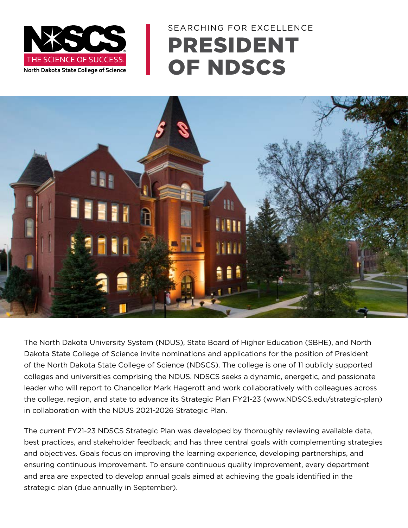

# SEARCHING FOR EXCELLENCE PRESIDENT OF NDSCS



The North Dakota University System (NDUS), State Board of Higher Education (SBHE), and North Dakota State College of Science invite nominations and applications for the position of President of the North Dakota State College of Science (NDSCS). The college is one of 11 publicly supported colleges and universities comprising the NDUS. NDSCS seeks a dynamic, energetic, and passionate leader who will report to Chancellor Mark Hagerott and work collaboratively with colleagues across the college, region, and state to advance its Strategic Plan FY21-23 ([www.NDSCS.edu/strategic-plan](https://www.ndscs.edu/about-ndscs/strategic-plan)) in collaboration with the NDUS 2021-2026 Strategic Plan.

The current FY21-23 NDSCS Strategic Plan was developed by thoroughly reviewing available data, best practices, and stakeholder feedback; and has three central goals with complementing strategies and objectives. Goals focus on improving the learning experience, developing partnerships, and ensuring continuous improvement. To ensure continuous quality improvement, every department and area are expected to develop annual goals aimed at achieving the goals identified in the strategic plan (due annually in September).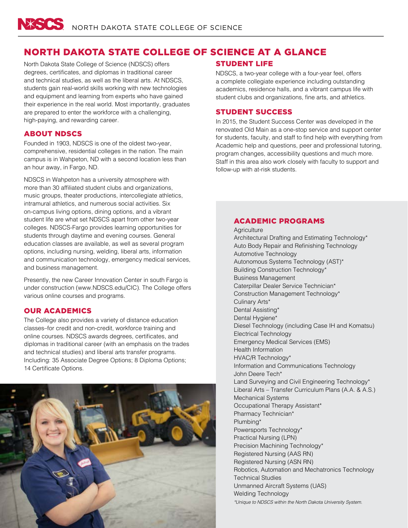# NORTH DAKOTA STATE COLLEGE OF SCIENCE AT A GLANCE

North Dakota State College of Science (NDSCS) offers degrees, certificates, and diplomas in traditional career and technical studies, as well as the liberal arts. At NDSCS, students gain real-world skills working with new technologies and equipment and learning from experts who have gained their experience in the real world. Most importantly, graduates are prepared to enter the workforce with a challenging, high-paying, and rewarding career.

# ABOUT NDSCS

Founded in 1903, NDSCS is one of the oldest two-year, comprehensive, residential colleges in the nation. The main campus is in Wahpeton, ND with a second location less than an hour away, in Fargo, ND.

NDSCS in Wahpeton has a university atmosphere with more than 30 affiliated student clubs and organizations, music groups, theater productions, intercollegiate athletics, intramural athletics, and numerous social activities. Six on-campus living options, dining options, and a vibrant student life are what set NDSCS apart from other two-year colleges. NDSCS-Fargo provides learning opportunities for students through daytime and evening courses. General education classes are available, as well as several program options, including nursing, welding, liberal arts, information and communication technology, emergency medical services, and business management.

Presently, the new Career Innovation Center in south Fargo is under construction [\(www.NDSCS.edu/CIC\)](https://www.NDSCS.edu/CIC). The College offers various online courses and programs.

# OUR ACADEMICS

The College also provides a variety of distance education classes–for credit and non-credit, workforce training and online courses. NDSCS awards degrees, certificates, and diplomas in traditional career (with an emphasis on the trades and technical studies) and liberal arts transfer programs. Including: 35 Associate Degree Options; 8 Diploma Options; 14 Certificate Options.



# STUDENT LIFE

NDSCS, a two-year college with a four-year feel, offers a complete collegiate experience including outstanding academics, residence halls, and a vibrant campus life with student clubs and organizations, fine arts, and athletics.

# STUDENT SUCCESS

In 2015, the Student Success Center was developed in the renovated Old Main as a one-stop service and support center for students, faculty, and staff to find help with everything from Academic help and questions, peer and professional tutoring, program changes, accessibility questions and much more. Staff in this area also work closely with faculty to support and follow-up with at-risk students.

# ACADEMIC PROGRAMS

**Agriculture** 

Architectural Drafting and Estimating Technology\* Auto Body Repair and Refinishing Technology Automotive Technology Autonomous Systems Technology (AST)\* Building Construction Technology\* Business Management Caterpillar Dealer Service Technician\* Construction Management Technology\* Culinary Arts\* Dental Assisting\* Dental Hygiene\* Diesel Technology (including Case IH and Komatsu) Electrical Technology Emergency Medical Services (EMS) Health Information HVAC/R Technology\* Information and Communications Technology John Deere Tech\* Land Surveying and Civil Engineering Technology\* Liberal Arts – Transfer Curriculum Plans (A.A. & A.S.) Mechanical Systems Occupational Therapy Assistant\* Pharmacy Technician\* Plumbing\* Powersports Technology\* Practical Nursing (LPN) Precision Machining Technology\* Registered Nursing (AAS RN) Registered Nursing (ASN RN) Robotics, Automation and Mechatronics Technology Technical Studies Unmanned Aircraft Systems (UAS) Welding Technology *\*Unique to NDSCS within the North Dakota University System.*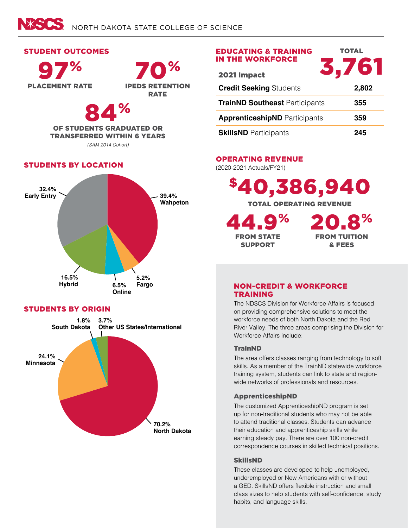

70% IPEDS RETENTION

**DATE** 



OF STUDENTS GRADUATED OR TRANSFERRED WITHIN 6 YEARS

*(SAM 2014 Cohort)*

# STUDENTS BY LOCATION



# STUDENTS BY ORIGIN



# STUDENT OUTCOMES EDUCATING & TRAINING IN THE WORKFORCE **TOTAL**  $\frac{1}{2021 \text{ Impact}}$  3,761 **Credit Seeking** Students **2,802 TrainND Southeast** Participants **355 ApprenticeshipND** Participants **359 SkillsND** Participants **245**

# OPERATING REVENUE

(2020-2021 Actuals/FY21)

\$40,386,940

TOTAL OPERATING REVENUE

44.9% FROM STATE SUPPORT

20.8% FROM TUITION & FEES

# NON-CREDIT & WORKFORCE TRAINING

The NDSCS Division for Workforce Affairs is focused on providing comprehensive solutions to meet the workforce needs of both North Dakota and the Red River Valley. The three areas comprising the Division for Workforce Affairs include:

# TrainND

The area offers classes ranging from technology to soft skills. As a member of the TrainND statewide workforce training system, students can link to state and regionwide networks of professionals and resources.

# ApprenticeshipND

The customized ApprenticeshipND program is set up for non-traditional students who may not be able to attend traditional classes. Students can advance their education and apprenticeship skills while earning steady pay. There are over 100 non-credit correspondence courses in skilled technical positions.

# SkillsND

These classes are developed to help unemployed, underemployed or New Americans with or without a GED. SkillsND offers flexible instruction and small class sizes to help students with self-confidence, study habits, and language skills.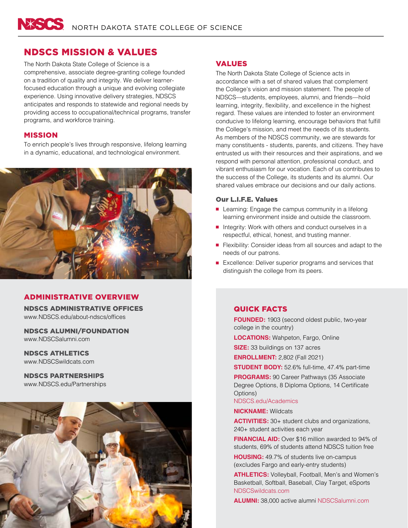# NDSCS MISSION & VALUES

The North Dakota State College of Science is a comprehensive, associate degree-granting college founded on a tradition of quality and integrity. We deliver learnerfocused education through a unique and evolving collegiate experience. Using innovative delivery strategies, NDSCS anticipates and responds to statewide and regional needs by providing access to occupational/technical programs, transfer programs, and workforce training.

## MISSION

To enrich people's lives through responsive, lifelong learning in a dynamic, educational, and technological environment.



# ADMINISTRATIVE OVERVIEW

NDSCS ADMINISTRATIVE OFFICES www.NDSCS.edu/about-ndscs/offices

NDSCS ALUMNI/FOUNDATION www.NDSCSalumni.com

NDSCS ATHLETICS www.NDSCSwildcats.com

NDSCS PARTNERSHIPS www.NDSCS.edu/Partnerships



# VALUES

The North Dakota State College of Science acts in accordance with a set of shared values that complement the College's vision and mission statement. The people of NDSCS—students, employees, alumni, and friends—hold learning, integrity, flexibility, and excellence in the highest regard. These values are intended to foster an environment conducive to lifelong learning, encourage behaviors that fulfill the College's mission, and meet the needs of its students. As members of the NDSCS community, we are stewards for many constituents - students, parents, and citizens. They have entrusted us with their resources and their aspirations, and we respond with personal attention, professional conduct, and vibrant enthusiasm for our vocation. Each of us contributes to the success of the College, its students and its alumni. Our shared values embrace our decisions and our daily actions.

## Our L.I.F.E. Values

- Learning: Engage the campus community in a lifelong learning environment inside and outside the classroom.
- Integrity: Work with others and conduct ourselves in a respectful, ethical, honest, and trusting manner.
- Flexibility: Consider ideas from all sources and adapt to the needs of our patrons.
- Excellence: Deliver superior programs and services that distinguish the college from its peers.

# QUICK FACTS

**FOUNDED:** 1903 (second oldest public, two-year college in the country)

**LOCATIONS:** Wahpeton, Fargo, Online

**SIZE:** 33 buildings on 137 acres

**ENROLLMENT:** 2,802 (Fall 2021)

**STUDENT BODY:** 52.6% full-time, 47.4% part-time

**PROGRAMS:** 90 Career Pathways (35 Associate Degree Options, 8 Diploma Options, 14 Certificate Options)

### [NDSCS.edu/Academics](https://www.ndscs.edu/academics/academic-departments-programs)

**NICKNAME:** Wildcats

**ACTIVITIES:** 30+ student clubs and organizations, 240+ student activities each year

**FINANCIAL AID:** Over \$16 million awarded to 94% of students, 69% of students attend NDSCS tuition free

**HOUSING:** 49.7% of students live on-campus (excludes Fargo and early-entry students)

**ATHLETICS:** Volleyball, Football, Men's and Women's Basketball, Softball, Baseball, Clay Target, eSports [NDSCSwildcats.com](https://www.ndscswildcats.com/landing/index
)

**ALUMNI:** 38,000 active alumni NDSCS[alumni.com](https://www.ndscsalumni.com )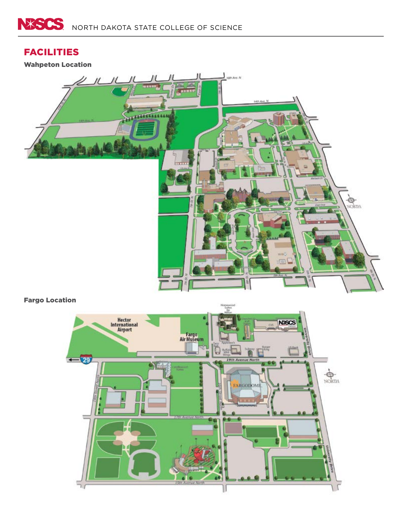# FACILITIES

Wahpeton Location



# Fargo Location

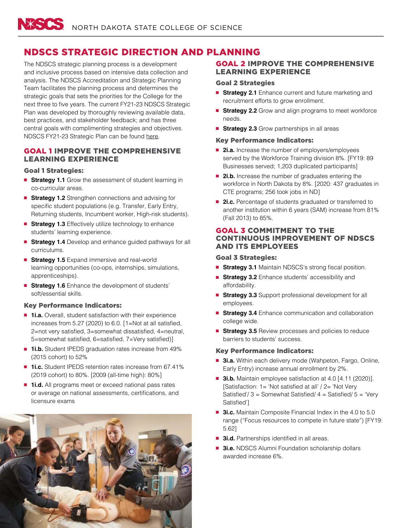# NDSCS STRATEGIC DIRECTION AND PLANNING

The NDSCS strategic planning process is a development and inclusive process based on intensive data collection and analysis. The NDSCS Accreditation and Strategic Planning Team facilitates the planning process and determines the strategic goals that sets the priorities for the College for the next three to five years. The current FY21-23 NDSCS Strategic Plan was developed by thoroughly reviewing available data, best practices, and stakeholder feedback; and has three central goals with complimenting strategies and objectives. NDSCS FY21-23 Strategic Plan can be found [here.](https://www.ndscs.edu/about-ndscs/strategic-plan)

## GOAL 1 IMPROVE THE COMPREHENSIVE LEARNING EXPERIENCE

## Goal 1 Strategies:

- **Strategy 1.1** Grow the assessment of student learning in co-curricular areas.
- **Strategy 1.2** Strengthen connections and advising for specific student populations (e.g. Transfer, Early Entry, Returning students, Incumbent worker, High-risk students).
- **Strategy 1.3** Effectively utilize technology to enhance students' learning experience.
- **Extrategy 1.4** Develop and enhance guided pathways for all curriculums.
- **Strategy 1.5** Expand immersive and real-world learning opportunities (co-ops, internships, simulations, apprenticeships).
- **E** Strategy 1.6 Enhance the development of students' soft/essential skills.

## Key Performance Indicators:

- **1i.a.** Overall, student satisfaction with their experience increases from 5.27 (2020) to 6.0. [1=Not at all satisfied, 2=not very satisfied, 3=somewhat dissatisfied, 4=neutral, 5=somewhat satisfied, 6=satisfied, 7=Very satisfied)]
- **1i.b.** Student IPEDS graduation rates increase from 49% (2015 cohort) to 52%
- **1i.c.** Student IPEDS retention rates increase from 67.41% (2019 cohort) to 80%. [2009 (all-time high): 80%]
- **1i.d.** All programs meet or exceed national pass rates or average on national assessments, certifications, and licensure exams



# GOAL 2 IMPROVE THE COMPREHENSIVE LEARNING EXPERIENCE

## Goal 2 Strategies

- **Strategy 2.1** Enhance current and future marketing and recruitment efforts to grow enrollment.
- **Strategy 2.2** Grow and align programs to meet workforce needs.
- **Strategy 2.3** Grow partnerships in all areas

## Key Performance Indicators:

- 2i.a. Increase the number of employers/employees served by the Workforce Training division 8%. [FY19: 89 Businesses served; 1,203 duplicated participants]
- **2i.b.** Increase the number of graduates entering the workforce in North Dakota by 8%. [2020: 437 graduates in CTE programs; 256 took jobs in ND]
- 2i.c. Percentage of students graduated or transferred to another institution within 6 years (SAM) increase from 81% (Fall 2013) to 85%.

## GOAL 3 COMMITMENT TO THE CONTINUOUS IMPROVEMENT OF NDSCS AND ITS EMPLOYEES

## Goal 3 Strategies:

- **Strategy 3.1 Maintain NDSCS's strong fiscal position.**
- **Strategy 3.2** Enhance students' accessibility and affordability.
- **Strategy 3.3** Support professional development for all employees.
- **Extrategy 3.4** Enhance communication and collaboration college wide.
- **Strategy 3.5** Review processes and policies to reduce barriers to students' success.

## Key Performance Indicators:

- 3i.a. Within each delivery mode (Wahpeton, Fargo, Online, Early Entry) increase annual enrollment by 2%.
- **3i.b.** Maintain employee satisfaction at 4.0 [4.11 (2020)]. [Satisfaction: 1= 'Not satisfied at all' / 2= 'Not Very Satisfied'/  $3 =$  Somewhat Satisfied/  $4 =$  Satisfied/  $5 =$  'Very Satisfied']
- **3i.c.** Maintain Composite Financial Index in the 4.0 to 5.0 range ("Focus resources to compete in future state") [FY19: 5.62]
- **3i.d.** Partnerships identified in all areas.
- **3i.e.** NDSCS Alumni Foundation scholarship dollars awarded increase 6%.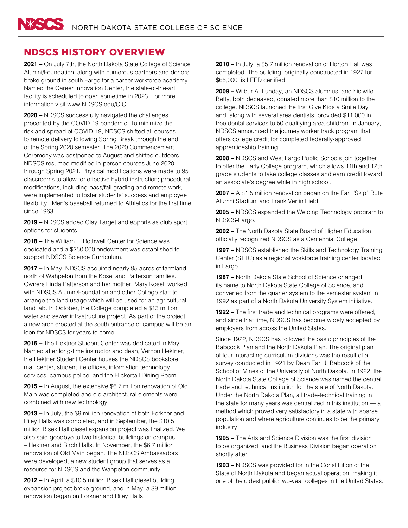# NDSCS HISTORY OVERVIEW

**2021 –** On July 7th, the North Dakota State College of Science Alumni/Foundation, along with numerous partners and donors, broke ground in south Fargo for a career workforce academy. Named the Career Innovation Center, the state-of-the-art facility is scheduled to open sometime in 2023. For more information visit www.NDSCS[.edu/CIC](https://www.ndscs.edu/CIC)

**2020 –** NDSCS successfully navigated the challenges presented by the COVID-19 pandemic. To minimize the risk and spread of COVID-19, NDSCS shifted all courses to remote delivery following Spring Break through the end of the Spring 2020 semester. The 2020 Commencement Ceremony was postponed to August and shifted outdoors. NDSCS resumed modified in-person courses June 2020 through Spring 2021. Physical modifications were made to 95 classrooms to allow for effective hybrid instruction; procedural modifications, including pass/fail grading and remote work, were implemented to foster students' success and employee flexibility. Men's baseball returned to Athletics for the first time since 1963.

**2019 –** NDSCS added Clay Target and eSports as club sport options for students.

**2018 –** The William F. Rothwell Center for Science was dedicated and a \$250,000 endowment was established to support NDSCS Science Curriculum.

**2017 –** In May, NDSCS acquired nearly 95 acres of farmland north of Wahpeton from the Kosel and Patterson families. Owners Linda Patterson and her mother, Mary Kosel, worked with NDSCS Alumni/Foundation and other College staff to arrange the land usage which will be used for an agricultural land lab. In October, the College completed a \$13 million water and sewer infrastructure project. As part of the project, a new arch erected at the south entrance of campus will be an icon for NDSCS for years to come.

**2016 –** The Hektner Student Center was dedicated in May. Named after long-time instructor and dean, Vernon Hektner, the Hektner Student Center houses the NDSCS bookstore, mail center, student life offices, information technology services, campus police, and the Flickertail Dining Room.

**2015 –** In August, the extensive \$6.7 million renovation of Old Main was completed and old architectural elements were combined with new technology.

**2013 –** In July, the \$9 million renovation of both Forkner and Riley Halls was completed, and in September, the \$10.5 million Bisek Hall diesel expansion project was finalized. We also said goodbye to two historical buildings on campus – Hektner and Birch Halls. In November, the \$6.7 million renovation of Old Main began. The NDSCS Ambassadors were developed, a new student group that serves as a resource for NDSCS and the Wahpeton community.

**2012 –** In April, a \$10.5 million Bisek Hall diesel building expansion project broke ground, and in May, a \$9 million renovation began on Forkner and Riley Halls.

**2010 –** In July, a \$5.7 million renovation of Horton Hall was completed. The building, originally constructed in 1927 for \$65,000, is LEED certified.

**2009 –** Wilbur A. Lunday, an NDSCS alumnus, and his wife Betty, both deceased, donated more than \$10 million to the college. NDSCS launched the first Give Kids a Smile Day and, along with several area dentists, provided \$11,000 in free dental services to 50 qualifying area children. In January, NDSCS announced the journey worker track program that offers college credit for completed federally-approved apprenticeship training.

**2008 –** NDSCS and West Fargo Public Schools join together to offer the Early College program, which allows 11th and 12th grade students to take college classes and earn credit toward an associate's degree while in high school.

**2007 –** A \$1.5 million renovation began on the Earl "Skip" Bute Alumni Stadium and Frank Vertin Field.

**2005 –** NDSCS expanded the Welding Technology program to NDSCS-Fargo.

**2002 –** The North Dakota State Board of Higher Education officially recognized NDSCS as a Centennial College.

**1997 –** NDSCS established the Skills and Technology Training Center (STTC) as a regional workforce training center located in Fargo.

**1987 –** North Dakota State School of Science changed its name to North Dakota State College of Science, and converted from the quarter system to the semester system in 1992 as part of a North Dakota University System initiative.

**1922 –** The first trade and technical programs were offered, and since that time, NDSCS has become widely accepted by employers from across the United States.

Since 1922, NDSCS has followed the basic principles of the Babcock Plan and the North Dakota Plan. The original plan of four interacting curriculum divisions was the result of a survey conducted in 1921 by Dean Earl J. Babcock of the School of Mines of the University of North Dakota. In 1922, the North Dakota State College of Science was named the central trade and technical institution for the state of North Dakota. Under the North Dakota Plan, all trade-technical training in the state for many years was centralized in this institution — a method which proved very satisfactory in a state with sparse population and where agriculture continues to be the primary industry.

**1905 –** The Arts and Science Division was the first division to be organized, and the Business Division began operation shortly after.

**1903 –** NDSCS was provided for in the Constitution of the State of North Dakota and began actual operation, making it one of the oldest public two-year colleges in the United States.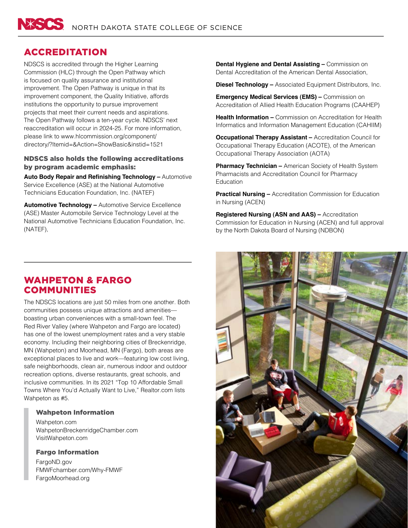# ACCREDITATION

NDSCS is accredited through the Higher Learning Commission (HLC) through the Open Pathway which is focused on quality assurance and institutional improvement. The Open Pathway is unique in that its improvement component, the Quality Initiative, affords institutions the opportunity to pursue improvement projects that meet their current needs and aspirations. The Open Pathway follows a ten-year cycle. NDSCS' next reaccreditation will occur in 2024-25. For more information, please link to [www.hlcommission.org/component/](https://www.hlcommission.org/component/directory/?Itemid=&Action=ShowBasic&instid=1521
) [directory/?Itemid=&Action=ShowBasic&instid=1521](https://www.hlcommission.org/component/directory/?Itemid=&Action=ShowBasic&instid=1521
)

# NDSCS also holds the following accreditations by program academic emphasis:

**Auto Body Repair and Refinishing Technology –** Automotive Service Excellence (ASE) at the National Automotive Technicians Education Foundation, Inc. (NATEF)

**Automotive Technology –** Automotive Service Excellence (ASE) Master Automobile Service Technology Level at the National Automotive Technicians Education Foundation, Inc. (NATEF),

**Dental Hygiene and Dental Assisting – Commission on** Dental Accreditation of the American Dental Association,

**Diesel Technology –** Associated Equipment Distributors, Inc.

**Emergency Medical Services (EMS) – Commission on** Accreditation of Allied Health Education Programs (CAAHEP)

**Health Information –** Commission on Accreditation for Health Informatics and Information Management Education (CAHIIM)

**Occupational Therapy Assistant – Accreditation Council for** Occupational Therapy Education (ACOTE), of the American Occupational Therapy Association (AOTA)

**Pharmacy Technician –** American Society of Health System Pharmacists and Accreditation Council for Pharmacy **Education** 

**Practical Nursing –** Accreditation Commission for Education in Nursing (ACEN)

**Registered Nursing (ASN and AAS) –** Accreditation Commission for Education in Nursing (ACEN) and full approval by the North Dakota Board of Nursing (NDBON)

# WAHPETON & FARGO COMMUNITIES

The NDSCS locations are just 50 miles from one another. Both communities possess unique attractions and amenities boasting urban conveniences with a small-town feel. The Red River Valley (where Wahpeton and Fargo are located) has one of the lowest unemployment rates and a very stable economy. Including their neighboring cities of Breckenridge, MN (Wahpeton) and Moorhead, MN (Fargo), both areas are exceptional places to live and work—featuring low cost living, safe neighborhoods, clean air, numerous indoor and outdoor recreation options, diverse restaurants, great schools, and inclusive communities. In its 2021 "Top 10 Affordable Small Towns Where You'd Actually Want to Live," Realtor.com lists Wahpeton as #5.

# Wahpeton Information

[Wahpeton.com](https://www.wahpeton.com/) [WahpetonBreckenridgeChamber.com](https://www.wahpetonbreckenridgechamber.com/) [VisitWahpeton.com](https://www.visitwahpeton.com/)

# Fargo Information

[FargoND.gov](https://fargond.gov/) FMWFchamber.com/Why-FMWF [FargoMoorhead.org](https://www.fargomoorhead.org/)

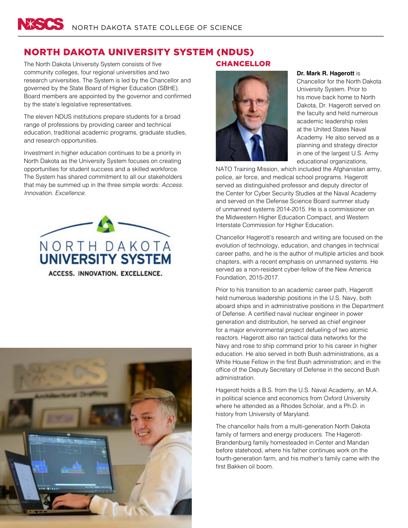# NORTH DAKOTA UNIVERSITY SYSTEM (NDUS)

The North Dakota University System consists of five community colleges, four regional universities and two research universities. The System is led by the Chancellor and governed by the State Board of Higher Education (SBHE). Board members are appointed by the governor and confirmed by the state's legislative representatives.

The eleven NDUS institutions prepare students for a broad range of professions by providing career and technical education, traditional academic programs, graduate studies, and research opportunities.

Investment in higher education continues to be a priority in North Dakota as the University System focuses on creating opportunities for student success and a skilled workforce. The System has shared commitment to all our stakeholders that may be summed up in the three simple words: *Access. Innovation. Excellence.*





# CHANCELLOR



## **Dr. Mark R. Hagerott** is

Chancellor for the North Dakota University System. Prior to his move back home to North Dakota, Dr. Hagerott served on the faculty and held numerous academic leadership roles at the United States Naval Academy. He also served as a planning and strategy director in one of the largest U.S. Army educational organizations,

NATO Training Mission, which included the Afghanistan army, police, air force, and medical school programs. Hagerott served as distinguished professor and deputy director of the Center for Cyber Security Studies at the Naval Academy and served on the Defense Science Board summer study of unmanned systems 2014-2015. He is a commissioner on the Midwestern Higher Education Compact, and Western Interstate Commission for Higher Education.

Chancellor Hagerott's research and writing are focused on the evolution of technology, education, and changes in technical career paths, and he is the author of multiple articles and book chapters, with a recent emphasis on unmanned systems. He served as a non-resident cyber-fellow of the New America Foundation, 2015-2017.

Prior to his transition to an academic career path, Hagerott held numerous leadership positions in the U.S. Navy, both aboard ships and in administrative positions in the Department of Defense. A certified naval nuclear engineer in power generation and distribution, he served as chief engineer for a major environmental project defueling of two atomic reactors. Hagerott also ran tactical data networks for the Navy and rose to ship command prior to his career in higher education. He also served in both Bush administrations, as a White House Fellow in the first Bush administration; and in the office of the Deputy Secretary of Defense in the second Bush administration.

Hagerott holds a B.S. from the U.S. Naval Academy, an M.A. in political science and economics from Oxford University where he attended as a Rhodes Scholar, and a Ph.D. in history from University of Maryland.

The chancellor hails from a multi-generation North Dakota family of farmers and energy producers. The Hagerott-Brandenburg family homesteaded in Center and Mandan before statehood, where his father continues work on the fourth-generation farm, and his mother's family came with the first Bakken oil boom.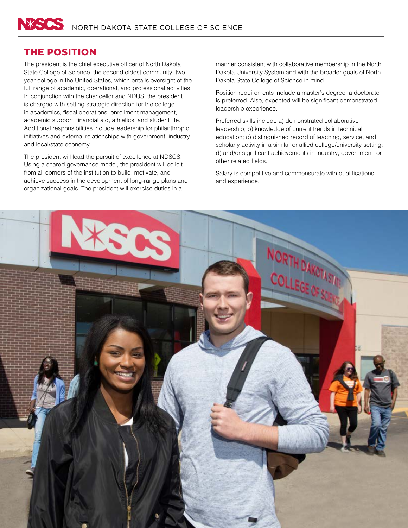# THE POSITION

The president is the chief executive officer of North Dakota State College of Science, the second oldest community, twoyear college in the United States, which entails oversight of the full range of academic, operational, and professional activities. In conjunction with the chancellor and NDUS, the president is charged with setting strategic direction for the college in academics, fiscal operations, enrollment management, academic support, financial aid, athletics, and student life. Additional responsibilities include leadership for philanthropic initiatives and external relationships with government, industry, and local/state economy.

The president will lead the pursuit of excellence at NDSCS. Using a shared governance model, the president will solicit from all corners of the institution to build, motivate, and achieve success in the development of long-range plans and organizational goals. The president will exercise duties in a

manner consistent with collaborative membership in the North Dakota University System and with the broader goals of North Dakota State College of Science in mind.

Position requirements include a master's degree; a doctorate is preferred. Also, expected will be significant demonstrated leadership experience.

Preferred skills include a) demonstrated collaborative leadership; b) knowledge of current trends in technical education; c) distinguished record of teaching, service, and scholarly activity in a similar or allied college/university setting; d) and/or significant achievements in industry, government, or other related fields.

Salary is competitive and commensurate with qualifications and experience.

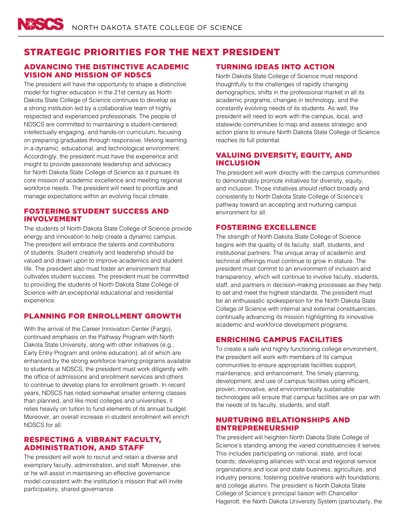# STRATEGIC PRIORITIES FOR THE NEXT PRESIDENT

# ADVANCING THE DISTINCTIVE ACADEMIC VISION AND MISSION OF NDSCS

The president will have the opportunity to shape a distinctive model for higher education in the 21st century as North Dakota State College of Science continues to develop as a strong institution led by a collaborative team of highly respected and experienced professionals. The people of NDSCS are committed to maintaining a student-centered, intellectually engaging, and hands-on curriculum, focusing on preparing graduates through responsive, lifelong learning in a dynamic, educational, and technological environment. Accordingly, the president must have the experience and insight to provide passionate leadership and advocacy for North Dakota State College of Science as it pursues its core mission of academic excellence and meeting regional workforce needs. The president will need to prioritize and manage expectations within an evolving fiscal climate.

# FOSTERING STUDENT SUCCESS AND INVOLVEMENT

The students of North Dakota State College of Science provide energy and innovation to help create a dynamic campus. The president will embrace the talents and contributions of students. Student creativity and leadership should be valued and drawn upon to improve academics and student life. The president also must foster an environment that cultivates student success. The president must be committed to providing the students of North Dakota State College of Science with an exceptional educational and residential experience.

# PLANNING FOR ENROLLMENT GROWTH

With the arrival of the Career Innovation Center (Fargo), continued emphasis on the Pathway Program with North Dakota State University, along with other initiatives (e.g., Early Entry Program and online education), all of which are enhanced by the strong workforce training programs available to students at NDSCS, the president must work diligently with the office of admissions and enrollment services and others to continue to develop plans for enrollment growth. In recent years, NDSCS has noted somewhat smaller entering classes than planned, and like most colleges and universities, it relies heavily on tuition to fund elements of its annual budget. Moreover, an overall increase in student enrollment will enrich NDSCS for all.

# RESPECTING A VIBRANT FACULTY, ADMINISTRATION, AND STAFF

The president will work to recruit and retain a diverse and exemplary faculty, administration, and staff. Moreover, she or he will assist in maintaining an effective governance model consistent with the institution's mission that will invite participatory, shared governance.

# TURNING IDEAS INTO ACTION

North Dakota State College of Science must respond thoughtfully to the challenges of rapidly changing demographics, shifts in the professional market in all its academic programs, changes in technology, and the constantly evolving needs of its students. As well, the president will need to work with the campus, local, and statewide communities to map and assess strategic and action plans to ensure North Dakota State College of Science reaches its full potential.

# VALUING DIVERSITY, EQUITY, AND INCLUSION

The president will work directly with the campus communities to demonstrably promote initiatives for diversity, equity, and inclusion. Those initiatives should reflect broadly and consistently to North Dakota State College of Science's pathway toward an accepting and nurturing campus environment for all.

# FOSTERING EXCELLENCE

The strength of North Dakota State College of Science begins with the quality of its faculty, staff, students, and institutional partners. The unique array of academic and technical offerings must continue to grow in stature. The president must commit to an environment of inclusion and transparency, which will continue to involve faculty, students, staff, and partners in decision-making processes as they help to set and meet the highest standards. The president must be an enthusiastic spokesperson for the North Dakota State College of Science with internal and external constituencies, continually advancing its mission highlighting its innovative academic and workforce development programs.

# ENRICHING CAMPUS FACILITIES

To create a safe and highly functioning college environment, the president will work with members of its campus communities to ensure appropriate facilities support, maintenance, and enhancement. The timely planning, development, and use of campus facilities using efficient, proven, innovative, and environmentally sustainable technologies will ensure that campus facilities are on par with the needs of its faculty, students, and staff.

# NURTURING RELATIONSHIPS AND ENTREPRENEURSHIP

The president will heighten North Dakota State College of Science's standing among the varied constituencies it serves. This includes participating on national, state, and local boards; developing alliances with local and regional service organizations and local and state business, agriculture, and industry persons; fostering positive relations with foundations, and college alumni. The president is North Dakota State College of Science's principal liaison with Chancellor Hagerott, the North Dakota University System (particularly, the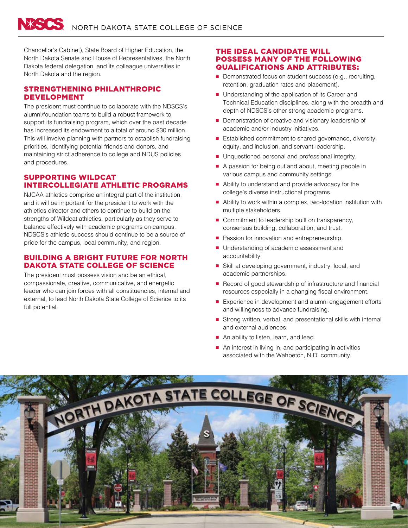Chancellor's Cabinet), State Board of Higher Education, the North Dakota Senate and House of Representatives, the North Dakota federal delegation, and its colleague universities in North Dakota and the region.

# STRENGTHENING PHILANTHROPIC DEVELOPMENT

The president must continue to collaborate with the NDSCS's alumni/foundation teams to build a robust framework to support its fundraising program, which over the past decade has increased its endowment to a total of around \$30 million. This will involve planning with partners to establish fundraising priorities, identifying potential friends and donors, and maintaining strict adherence to college and NDUS policies and procedures.

# SUPPORTING WILDCAT INTERCOLLEGIATE ATHLETIC PROGRAMS

NJCAA athletics comprise an integral part of the institution, and it will be important for the president to work with the athletics director and others to continue to build on the strengths of Wildcat athletics, particularly as they serve to balance effectively with academic programs on campus. NDSCS's athletic success should continue to be a source of pride for the campus, local community, and region.

# BUILDING A BRIGHT FUTURE FOR NORTH DAKOTA STATE COLLEGE OF SCIENCE

The president must possess vision and be an ethical, compassionate, creative, communicative, and energetic leader who can join forces with all constituencies, internal and external, to lead North Dakota State College of Science to its full potential.

# THE IDEAL CANDIDATE WILL POSSESS MANY OF THE FOLLOWING QUALIFICATIONS AND ATTRIBUTES:

- Demonstrated focus on student success (e.g., recruiting, retention, graduation rates and placement).
- Understanding of the application of its Career and Technical Education disciplines, along with the breadth and depth of NDSCS's other strong academic programs.
- Demonstration of creative and visionary leadership of academic and/or industry initiatives.
- Established commitment to shared governance, diversity, equity, and inclusion, and servant-leadership.
- Unquestioned personal and professional integrity.
- A passion for being out and about, meeting people in various campus and community settings.
- Ability to understand and provide advocacy for the college's diverse instructional programs.
- Ability to work within a complex, two-location institution with multiple stakeholders.
- Commitment to leadership built on transparency, consensus building, collaboration, and trust.
- Passion for innovation and entrepreneurship.
- Understanding of academic assessment and accountability.
- Skill at developing government, industry, local, and academic partnerships.
- Record of good stewardship of infrastructure and financial resources especially in a changing fiscal environment.
- Experience in development and alumni engagement efforts and willingness to advance fundraising.
- Strong written, verbal, and presentational skills with internal and external audiences.
- An ability to listen, learn, and lead.
- An interest in living in, and participating in activities associated with the Wahpeton, N.D. community.